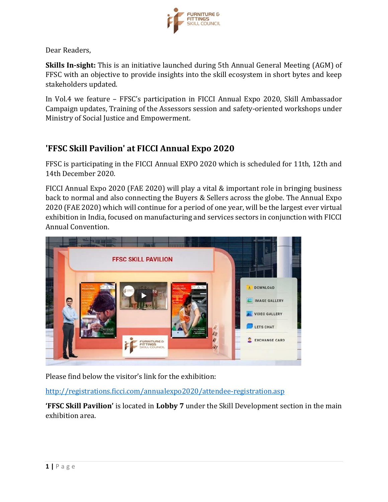

Dear Readers,

**Skills In-sight:** This is an initiative launched during 5th Annual General Meeting (AGM) of FFSC with an objective to provide insights into the skill ecosystem in short bytes and keep stakeholders updated.

In Vol.4 we feature – FFSC's participation in FICCI Annual Expo 2020, Skill Ambassador Campaign updates, Training of the Assessors session and safety-oriented workshops under Ministry of Social Justice and Empowerment.

## **'FFSC Skill Pavilion' at FICCI Annual Expo 2020**

FFSC is participating in the FICCI Annual EXPO 2020 which is scheduled for 11th, 12th and 14th December 2020.

FICCI Annual Expo 2020 (FAE 2020) will play a vital & important role in bringing business back to normal and also connecting the Buyers & Sellers across the globe. The Annual Expo 2020 (FAE 2020) which will continue for a period of one year, will be the largest ever virtual exhibition in India, focused on manufacturing and services sectors in conjunction with FICCI Annual Convention.



Please find below the visitor's link for the exhibition:

<http://registrations.ficci.com/annualexpo2020/attendee-registration.asp>

**'FFSC Skill Pavilion'** is located in **Lobby 7** under the Skill Development section in the main exhibition area.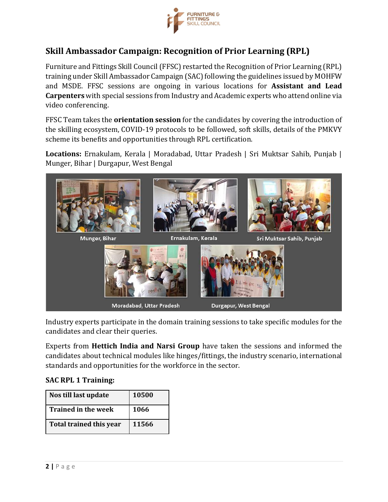

## **Skill Ambassador Campaign: Recognition of Prior Learning (RPL)**

Furniture and Fittings Skill Council (FFSC) restarted the Recognition of Prior Learning (RPL) training under Skill Ambassador Campaign (SAC) following the guidelines issued by MOHFW and MSDE. FFSC sessions are ongoing in various locations for **Assistant and Lead Carpenters** with special sessions from Industry and Academic experts who attend online via video conferencing.

FFSC Team takes the **orientation session** for the candidates by covering the introduction of the skilling ecosystem, COVID-19 protocols to be followed, soft skills, details of the PMKVY scheme its benefits and opportunities through RPL certification.

**Locations:** Ernakulam, Kerala | Moradabad, Uttar Pradesh | Sri Muktsar Sahib, Punjab | Munger, Bihar | Durgapur, West Bengal



Industry experts participate in the domain training sessions to take specific modules for the candidates and clear their queries.

Experts from **Hettich India and Narsi Group** have taken the sessions and informed the candidates about technical modules like hinges/fittings, the industry scenario, international standards and opportunities for the workforce in the sector.

#### **SAC RPL 1 Training:**

| Nos till last update           | 10500 |
|--------------------------------|-------|
| <b>Trained in the week</b>     | 1066  |
| <b>Total trained this year</b> | 11566 |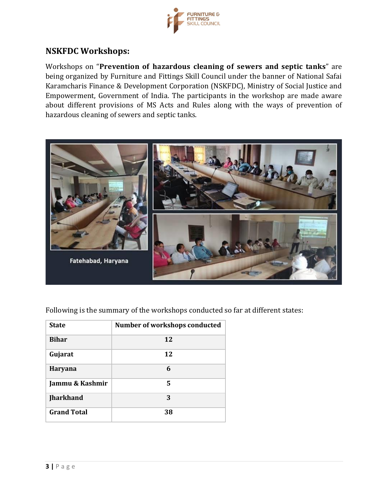

## **NSKFDC Workshops:**

Workshops on "Prevention of hazardous cleaning of sewers and septic tanks" are being organized by Furniture and Fittings Skill Council under the banner of National Safai Karamcharis Finance & Development Corporation (NSKFDC), Ministry of Social Justice and Empowerment, Government of India. The participants in the workshop are made aware about different provisions of MS Acts and Rules along with the ways of prevention of hazardous cleaning of sewers and septic tanks.



Following is the summary of the workshops conducted so far at different states:

| <b>State</b>       | Number of workshops conducted |
|--------------------|-------------------------------|
| <b>Bihar</b>       | 12                            |
| Gujarat            | 12                            |
| Haryana            | 6                             |
| Jammu & Kashmir    | 5                             |
| <b>Jharkhand</b>   | 3                             |
| <b>Grand Total</b> | 38                            |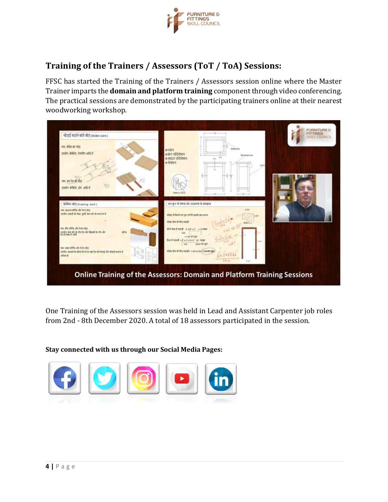

# **Training of the Trainers / Assessors (ToT / ToA) Sessions:**

FFSC has started the Training of the Trainers / Assessors session online where the Master Trainer imparts the **domain and platform training** component through video conferencing. The practical sessions are demonstrated by the participating trainers online at their nearest woodworking workshop.



One Training of the Assessors session was held in Lead and Assistant Carpenter job roles from 2nd - 8th December 2020. A total of 18 assessors participated in the session.

#### **Stay connected with us through our Social Media Pages:**